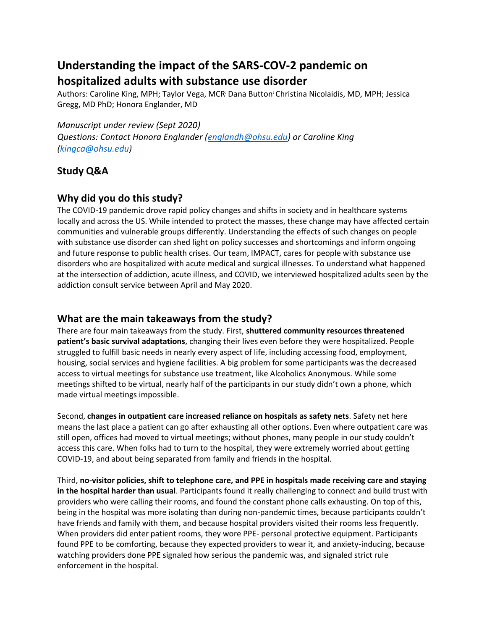# **Understanding the impact of the SARS-COV-2 pandemic on hospitalized adults with substance use disorder**

Authors: Caroline King, MPH; Taylor Vega, MCR; Dana Button; Christina Nicolaidis, MD, MPH; Jessica Gregg, MD PhD; Honora Englander, MD

*Manuscript under review (Sept 2020) Questions: Contact Honora Englander [\(englandh@ohsu.edu\)](mailto:englandh@ohsu.edu) or Caroline King [\(kingca@ohsu.edu\)](mailto:kingca@ohsu.edu)* 

# **Study Q&A**

# **Why did you do this study?**

The COVID-19 pandemic drove rapid policy changes and shifts in society and in healthcare systems locally and across the US. While intended to protect the masses, these change may have affected certain communities and vulnerable groups differently. Understanding the effects of such changes on people with substance use disorder can shed light on policy successes and shortcomings and inform ongoing and future response to public health crises. Our team, IMPACT, cares for people with substance use disorders who are hospitalized with acute medical and surgical illnesses. To understand what happened at the intersection of addiction, acute illness, and COVID, we interviewed hospitalized adults seen by the addiction consult service between April and May 2020.

# **What are the main takeaways from the study?**

There are four main takeaways from the study. First, **shuttered community resources threatened patient's basic survival adaptations**, changing their lives even before they were hospitalized. People struggled to fulfill basic needs in nearly every aspect of life, including accessing food, employment, housing, social services and hygiene facilities. A big problem for some participants was the decreased access to virtual meetings for substance use treatment, like Alcoholics Anonymous. While some meetings shifted to be virtual, nearly half of the participants in our study didn't own a phone, which made virtual meetings impossible.

Second, **changes in outpatient care increased reliance on hospitals as safety nets**. Safety net here means the last place a patient can go after exhausting all other options. Even where outpatient care was still open, offices had moved to virtual meetings; without phones, many people in our study couldn't access this care. When folks had to turn to the hospital, they were extremely worried about getting COVID-19, and about being separated from family and friends in the hospital.

Third, **no-visitor policies, shift to telephone care, and PPE in hospitals made receiving care and staying in the hospital harder than usual**. Participants found it really challenging to connect and build trust with providers who were calling their rooms, and found the constant phone calls exhausting. On top of this, being in the hospital was more isolating than during non-pandemic times, because participants couldn't have friends and family with them, and because hospital providers visited their rooms less frequently. When providers did enter patient rooms, they wore PPE- personal protective equipment. Participants found PPE to be comforting, because they expected providers to wear it, and anxiety-inducing, because watching providers done PPE signaled how serious the pandemic was, and signaled strict rule enforcement in the hospital.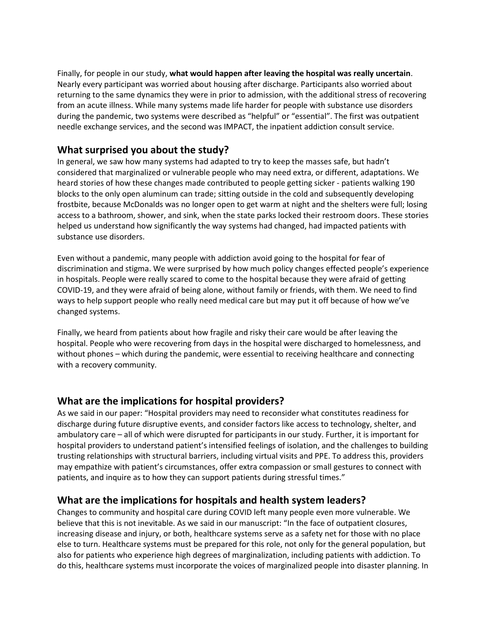Finally, for people in our study, **what would happen after leaving the hospital was really uncertain**. Nearly every participant was worried about housing after discharge. Participants also worried about returning to the same dynamics they were in prior to admission, with the additional stress of recovering from an acute illness. While many systems made life harder for people with substance use disorders during the pandemic, two systems were described as "helpful" or "essential". The first was outpatient needle exchange services, and the second was IMPACT, the inpatient addiction consult service.

# **What surprised you about the study?**

In general, we saw how many systems had adapted to try to keep the masses safe, but hadn't considered that marginalized or vulnerable people who may need extra, or different, adaptations. We heard stories of how these changes made contributed to people getting sicker - patients walking 190 blocks to the only open aluminum can trade; sitting outside in the cold and subsequently developing frostbite, because McDonalds was no longer open to get warm at night and the shelters were full; losing access to a bathroom, shower, and sink, when the state parks locked their restroom doors. These stories helped us understand how significantly the way systems had changed, had impacted patients with substance use disorders.

Even without a pandemic, many people with addiction avoid going to the hospital for fear of discrimination and stigma. We were surprised by how much policy changes effected people's experience in hospitals. People were really scared to come to the hospital because they were afraid of getting COVID-19, and they were afraid of being alone, without family or friends, with them. We need to find ways to help support people who really need medical care but may put it off because of how we've changed systems.

Finally, we heard from patients about how fragile and risky their care would be after leaving the hospital. People who were recovering from days in the hospital were discharged to homelessness, and without phones – which during the pandemic, were essential to receiving healthcare and connecting with a recovery community.

#### **What are the implications for hospital providers?**

As we said in our paper: "Hospital providers may need to reconsider what constitutes readiness for discharge during future disruptive events, and consider factors like access to technology, shelter, and ambulatory care – all of which were disrupted for participants in our study. Further, it is important for hospital providers to understand patient's intensified feelings of isolation, and the challenges to building trusting relationships with structural barriers, including virtual visits and PPE. To address this, providers may empathize with patient's circumstances, offer extra compassion or small gestures to connect with patients, and inquire as to how they can support patients during stressful times."

#### **What are the implications for hospitals and health system leaders?**

Changes to community and hospital care during COVID left many people even more vulnerable. We believe that this is not inevitable. As we said in our manuscript: "In the face of outpatient closures, increasing disease and injury, or both, healthcare systems serve as a safety net for those with no place else to turn. Healthcare systems must be prepared for this role, not only for the general population, but also for patients who experience high degrees of marginalization, including patients with addiction. To do this, healthcare systems must incorporate the voices of marginalized people into disaster planning. In